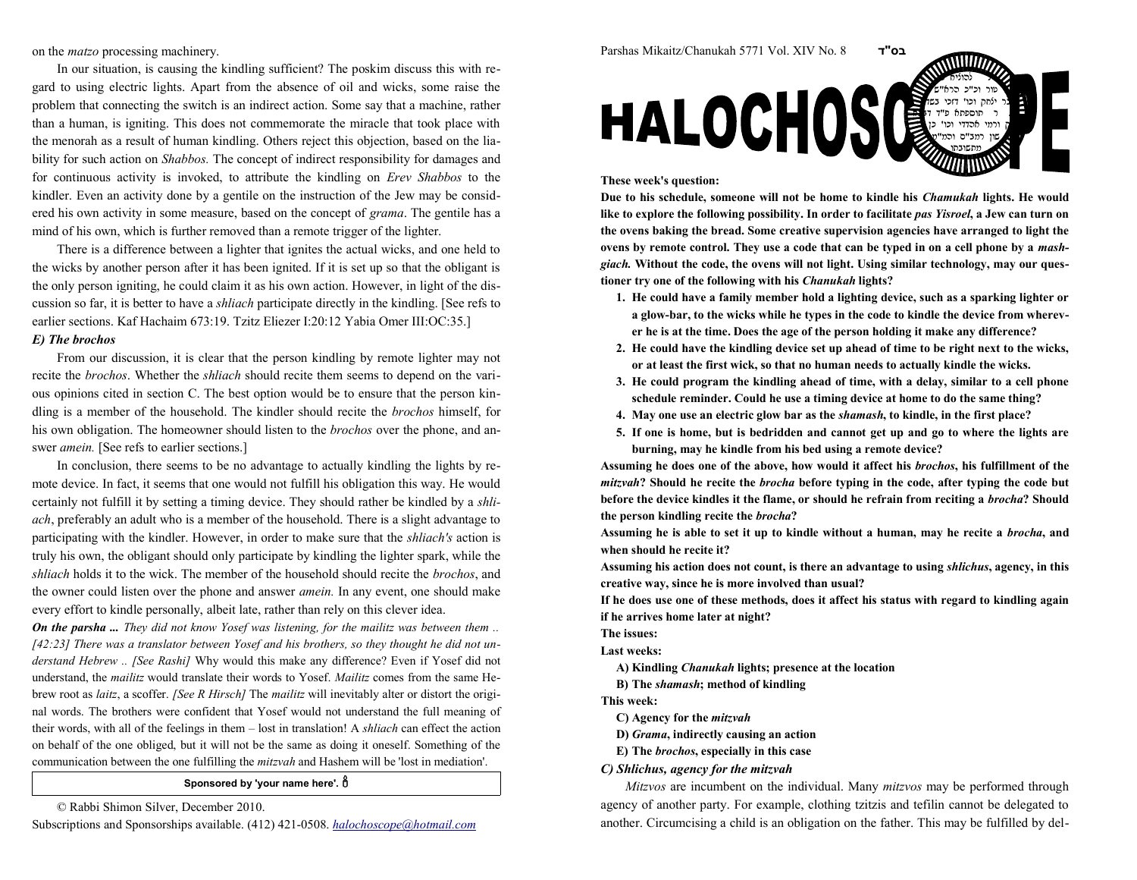on the matzo processing machinery.

In our situation, is causing the kindling sufficient? The poskim discuss this with regard to using electric lights. Apart from the absence of oil and wicks, some raise the problem that connecting the switch is an indirect action. Some say that a machine, ratherthan a human, is igniting. This does not commemorate the miracle that took place with the menorah as a result of human kindling. Others reject this objection, based on the liability for such action on *Shabbos*. The concept of indirect responsibility for damages and for continuous activity is invoked, to attribute the kindling on *Erev Shabbos* to the kindler. Even an activity done by a gentile on the instruction of the Jew may be considered his own activity in some measure, based on the concept of *grama*. The gentile has a mind of his own, which is further removed than a remote trigger of the lighter.

There is a difference between a lighter that ignites the actual wicks, and one held to the wicks by another person after it has been ignited. If it is set up so that the obligant is the only person igniting, he could claim it as his own action. However, in light of the discussion so far, it is better to have a *shliach* participate directly in the kindling. [See refs to earlier sections. Kaf Hachaim 673:19. Tzitz Eliezer I:20:12 Yabia Omer III:OC:35.]

## E) The brochos

From our discussion, it is clear that the person kindling by remote lighter may notrecite the *brochos*. Whether the *shliach* should recite them seems to depend on the various opinions cited in section C. The best option would be to ensure that the person kindling is a member of the household. The kindler should recite the brochos himself, forhis own obligation. The homeowner should listen to the *brochos* over the phone, and answer amein. [See refs to earlier sections.]

In conclusion, there seems to be no advantage to actually kindling the lights by remote device. In fact, it seems that one would not fulfill his obligation this way. He wouldcertainly not fulfill it by setting a timing device. They should rather be kindled by a shliach, preferably an adult who is a member of the household. There is a slight advantage toparticipating with the kindler. However, in order to make sure that the shliach's action is truly his own, the obligant should only participate by kindling the lighter spark, while theshliach holds it to the wick. The member of the household should recite the brochos, and the owner could listen over the phone and answer *amein*. In any event, one should make every effort to kindle personally, albeit late, rather than rely on this clever idea.

**On the parsha ...** They did not know Yosef was listening, for the mailitz was between them .. [42:23] There was a translator between Yosef and his brothers, so they thought he did not understand Hebrew .. [See Rashi] Why would this make any difference? Even if Yosef did not understand, the *mailitz* would translate their words to Yosef. *Mailitz* comes from the same Hebrew root as *laitz*, a scoffer. [See R Hirsch] The mailitz will inevitably alter or distort the original words. The brothers were confident that Yosef would not understand the full meaning oftheir words, with all of the feelings in them – lost in translation! A shliach can effect the action on behalf of the one obliged, but it will not be the same as doing it oneself. Something of thecommunication between the one fulfilling the *mitzvah* and Hashem will be 'lost in mediation'.

## Sponsored by 'your name here'.  $\stackrel{0}{0}$

© Rabbi Shimon Silver, December 2010.



Assuming his action does not count, is there an advantage to using shlichus, agency, in this creative way, since he is more involved than usual?

Assuming he does one of the above, how would it affect his brochos, his fulfillment of the *mitzvah*? Should he recite the *brocha* before typing in the code, after typing the code but

burning, may he kindle from his bed using a remote device?

Due to his schedule, someone will not be home to kindle his Chamukah lights. He wouldlike to explore the following possibility. In order to facilitate *pas Yisroel*, a Jew can turn on the ovens baking the bread. Some creative supervision agencies have arranged to light theovens by remote control. They use a code that can be typed in on a cell phone by a *mash*giach. Without the code, the ovens will not light. Using similar technology, may our ques-

 1. He could have a family member hold a lighting device, such as a sparking lighter or a glow-bar, to the wicks while he types in the code to kindle the device from wherever he is at the time. Does the age of the person holding it make any difference?2. He could have the kindling device set up ahead of time to be right next to the wicks, or at least the first wick, so that no human needs to actually kindle the wicks.3. He could program the kindling ahead of time, with a delay, similar to a cell phone schedule reminder. Could he use a timing device at home to do the same thing?4. May one use an electric glow bar as the shamash, to kindle, in the first place? 5. If one is home, but is bedridden and cannot get up and go to where the lights are

<sup>ד</sup>"בס

 $\epsilon$  this case  $\epsilon$ טור וכ"כ הרא"ש בר ילחק וכו' דזכי בשה ר תוספתא פ"ד ד<del>גבה</del>. אהדדי וכו' שון רמב"ם והמ"ט מתשובתו

 If he does use one of these methods, does it affect his status with regard to kindling againif he arrives home later at night?

The issues:

Last weeks:

A) Kindling Chanukah lights; presence at the location

B) The shamash; method of kindling

Parshas Mikaitz/Chanukah 5771 Vol. XIV No. 8

**HALOCHOS** 

tioner try one of the following with his Chanukah lights?

These week's question:

This week:

C) Agency for the mitzvah

D) Grama, indirectly causing an action

E) The *brochos*, especially in this case

C) Shlichus, agency for the mitzvah

Mitzvos are incumbent on the individual. Many mitzvos may be performed through agency of another party. For example, clothing tzitzis and tefilin cannot be delegated toanother. Circumcising a child is an obligation on the father. This may be fulfilled by del-

Subscriptions and Sponsorships available. (412) 421-0508. halochoscope@hotmail.com